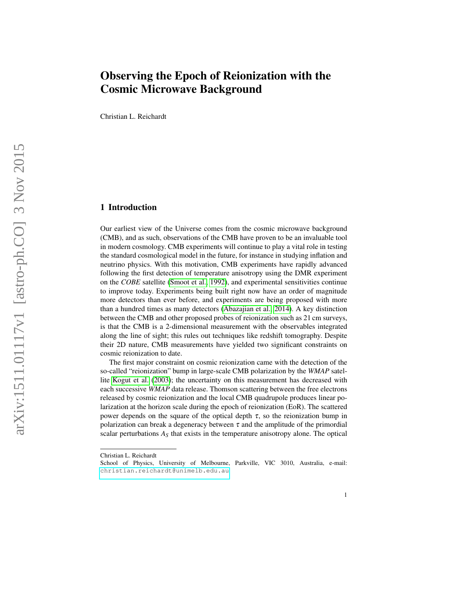# Observing the Epoch of Reionization with the Cosmic Microwave Background

Christian L. Reichardt

## 1 Introduction

Our earliest view of the Universe comes from the cosmic microwave background (CMB), and as such, observations of the CMB have proven to be an invaluable tool in modern cosmology. CMB experiments will continue to play a vital role in testing the standard cosmological model in the future, for instance in studying inflation and neutrino physics. With this motivation, CMB experiments have rapidly advanced following the first detection of temperature anisotropy using the DMR experiment on the *COBE* satellite [\(Smoot et al., 1992\)](#page-14-0), and experimental sensitivities continue to improve today. Experiments being built right now have an order of magnitude more detectors than ever before, and experiments are being proposed with more than a hundred times as many detectors [\(Abazajian et al., 2014\)](#page-13-0). A key distinction between the CMB and other proposed probes of reionization such as 21 cm surveys, is that the CMB is a 2-dimensional measurement with the observables integrated along the line of sight; this rules out techniques like redshift tomography. Despite their 2D nature, CMB measurements have yielded two significant constraints on cosmic reionization to date.

The first major constraint on cosmic reionization came with the detection of the so-called "reionization" bump in large-scale CMB polarization by the *WMAP* satellite [Kogut et al.](#page-14-1) [\(2003\)](#page-14-1); the uncertainty on this measurement has decreased with each successive *WMAP* data release. Thomson scattering between the free electrons released by cosmic reionization and the local CMB quadrupole produces linear polarization at the horizon scale during the epoch of reionization (EoR). The scattered power depends on the square of the optical depth  $\tau$ , so the reionization bump in polarization can break a degeneracy between  $\tau$  and the amplitude of the primordial scalar perturbations  $A<sub>S</sub>$  that exists in the temperature anisotropy alone. The optical

Christian L. Reichardt

School of Physics, University of Melbourne, Parkville, VIC 3010, Australia, e-mail: <christian.reichardt@unimelb.edu.au>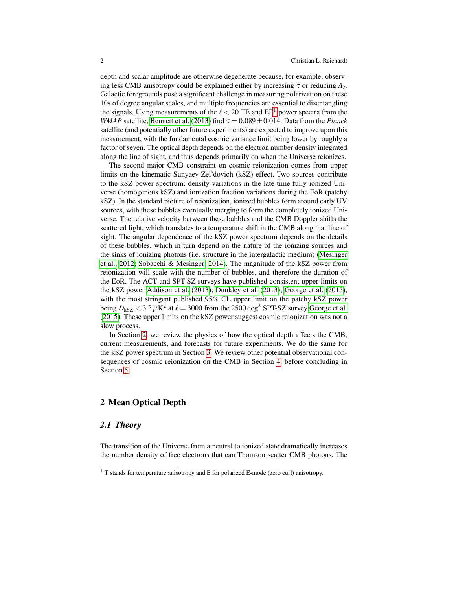depth and scalar amplitude are otherwise degenerate because, for example, observing less CMB anisotropy could be explained either by increasing  $\tau$  or reducing  $A_s$ . Galactic foregrounds pose a significant challenge in measuring polarization on these 10s of degree angular scales, and multiple frequencies are essential to disentangling the signals. Using measurements of the  $\ell < 20$  TE and EE<sup>[1](#page-1-0)</sup> power spectra from the *WMAP* satellite, [Bennett et al.](#page-13-1) [\(2013\)](#page-13-1) find  $\tau = 0.089 \pm 0.014$ . Data from the *Planck* satellite (and potentially other future experiments) are expected to improve upon this measurement, with the fundamental cosmic variance limit being lower by roughly a factor of seven. The optical depth depends on the electron number density integrated along the line of sight, and thus depends primarily on when the Universe reionizes.

The second major CMB constraint on cosmic reionization comes from upper limits on the kinematic Sunyaev-Zel'dovich (kSZ) effect. Two sources contribute to the kSZ power spectrum: density variations in the late-time fully ionized Universe (homogenous kSZ) and ionization fraction variations during the EoR (patchy kSZ). In the standard picture of reionization, ionized bubbles form around early UV sources, with these bubbles eventually merging to form the completely ionized Universe. The relative velocity between these bubbles and the CMB Doppler shifts the scattered light, which translates to a temperature shift in the CMB along that line of sight. The angular dependence of the kSZ power spectrum depends on the details of these bubbles, which in turn depend on the nature of the ionizing sources and the sinks of ionizing photons (i.e. structure in the intergalactic medium) [\(Mesinger](#page-14-2) [et al., 2012;](#page-14-2) [Sobacchi & Mesinger, 2014\)](#page-14-3). The magnitude of the kSZ power from reionization will scale with the number of bubbles, and therefore the duration of the EoR. The ACT and SPT-SZ surveys have published consistent upper limits on the kSZ power [Addison et al.](#page-13-2) [\(2013\)](#page-13-2); [Dunkley et al.](#page-13-3) [\(2013\)](#page-13-3); [George et al.](#page-13-4) [\(2015\)](#page-13-4), with the most stringent published 95% CL upper limit on the patchy kSZ power being  $D_{\rm kSZ}$   $< 3.3 \,\mu{\rm K}^2$  at  $\ell = 3000$  from the 2500 deg<sup>2</sup> SPT-SZ survey [George et al.](#page-13-4) [\(2015\)](#page-13-4). These upper limits on the kSZ power suggest cosmic reionization was not a slow process.

In Section [2,](#page-1-1) we review the physics of how the optical depth affects the CMB, current measurements, and forecasts for future experiments. We do the same for the kSZ power spectrum in Section [3.](#page-6-0) We review other potential observational consequences of cosmic reionization on the CMB in Section [4,](#page-10-0) before concluding in Section [5.](#page-12-0)

## <span id="page-1-1"></span>2 Mean Optical Depth

## *2.1 Theory*

The transition of the Universe from a neutral to ionized state dramatically increases the number density of free electrons that can Thomson scatter CMB photons. The

<span id="page-1-0"></span> $1$  T stands for temperature anisotropy and E for polarized E-mode (zero curl) anisotropy.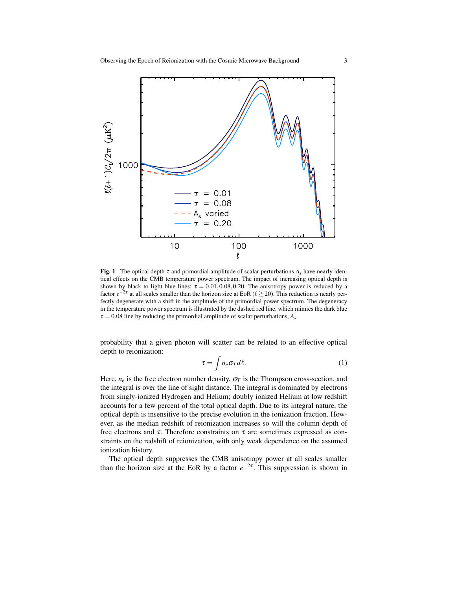

<span id="page-2-0"></span>**Fig. 1** The optical depth  $\tau$  and primordial amplitude of scalar perturbations  $A_s$  have nearly identical effects on the CMB temperature power spectrum. The impact of increasing optical depth is shown by black to light blue lines:  $\tau = 0.01, 0.08, 0.20$ . The anisotropy power is reduced by a factor  $e^{-2\tau}$  at all scales smaller than the horizon size at EoR ( $\ell \geq 20$ ). This reduction is nearly perfectly degenerate with a shift in the amplitude of the primordial power spectrum. The degeneracy in the temperature power spectrum is illustrated by the dashed red line, which mimics the dark blue  $\tau = 0.08$  line by reducing the primordial amplitude of scalar perturbations,  $A_s$ .

probability that a given photon will scatter can be related to an effective optical depth to reionization:

$$
\tau = \int n_e \sigma_T d\ell. \tag{1}
$$

Here,  $n_e$  is the free electron number density,  $\sigma_T$  is the Thompson cross-section, and the integral is over the line of sight distance. The integral is dominated by electrons from singly-ionized Hydrogen and Helium; doubly ionized Helium at low redshift accounts for a few percent of the total optical depth. Due to its integral nature, the optical depth is insensitive to the precise evolution in the ionization fraction. However, as the median redshift of reionization increases so will the column depth of free electrons and  $\tau$ . Therefore constraints on  $\tau$  are sometimes expressed as constraints on the redshift of reionization, with only weak dependence on the assumed ionization history.

The optical depth suppresses the CMB anisotropy power at all scales smaller than the horizon size at the EoR by a factor  $e^{-2\tau}$ . This suppression is shown in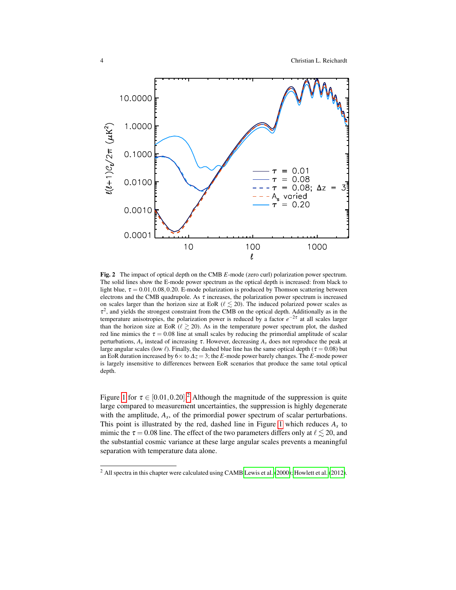

<span id="page-3-1"></span>Fig. 2 The impact of optical depth on the CMB *E*-mode (zero curl) polarization power spectrum. The solid lines show the E-mode power spectrum as the optical depth is increased: from black to light blue,  $\tau = 0.01, 0.08, 0.20$ . E-mode polarization is produced by Thomson scattering between electrons and the CMB quadrupole. As  $\tau$  increases, the polarization power spectrum is increased on scales larger than the horizon size at EoR ( $\ell \le 20$ ). The induced polarized power scales as  $\tau^2$ , and yields the strongest constraint from the CMB on the optical depth. Additionally as in the temperature anisotropies, the polarization power is reduced by a factor *e*<sup>-2τ</sup> at all scales larger than the horizon size at EoR ( $\ell \ge 20$ ). As in the temperature power spectrum plot, the dashed red line mimics the  $\tau = 0.08$  line at small scales by reducing the primordial amplitude of scalar perturbations,  $A_s$  instead of increasing  $\tau$ . However, decreasing  $A_s$  does not reproduce the peak at large angular scales (low  $\ell$ ). Finally, the dashed blue line has the same optical depth ( $\tau = 0.08$ ) but an EoR duration increased by  $6 \times$  to  $\Delta z = 3$ ; the *E*-mode power barely changes. The *E*-mode power is largely insensitive to differences between EoR scenarios that produce the same total optical depth.

Figure [1](#page-2-0) for  $\tau \in [0.01, 0.20]$  $\tau \in [0.01, 0.20]$  $\tau \in [0.01, 0.20]$ .<sup>2</sup> Although the magnitude of the suppression is quite large compared to measurement uncertainties, the suppression is highly degenerate with the amplitude,  $A_s$ , of the primordial power spectrum of scalar perturbations. This point is illustrated by the red, dashed line in Figure [1](#page-2-0) which reduces *A<sup>s</sup>* to mimic the  $\tau = 0.08$  line. The effect of the two parameters differs only at  $\ell \lesssim 20$ , and the substantial cosmic variance at these large angular scales prevents a meaningful separation with temperature data alone.

<span id="page-3-0"></span><sup>&</sup>lt;sup>2</sup> All spectra in this chapter were calculated using CAMB [Lewis et al.](#page-14-4) [\(2000\)](#page-14-4); [Howlett et al.](#page-13-5) [\(2012\)](#page-13-5).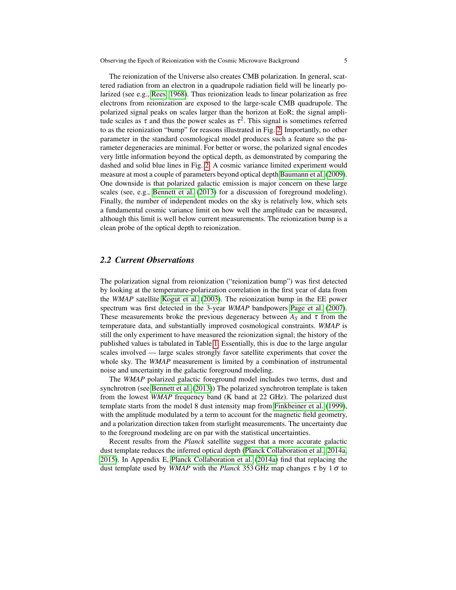The reionization of the Universe also creates CMB polarization. In general, scattered radiation from an electron in a quadrupole radiation field will be linearly polarized (see e.g., [Rees, 1968\)](#page-14-5). Thus reionization leads to linear polarization as free electrons from reionization are exposed to the large-scale CMB quadrupole. The polarized signal peaks on scales larger than the horizon at EoR; the signal amplitude scales as  $\tau$  and thus the power scales as  $\tau^2$ . This signal is sometimes referred to as the reionization "bump" for reasons illustrated in Fig. [2.](#page-3-1) Importantly, no other parameter in the standard cosmological model produces such a feature so the parameter degeneracies are minimal. For better or worse, the polarized signal encodes very little information beyond the optical depth, as demonstrated by comparing the dashed and solid blue lines in Fig. [2.](#page-3-1) A cosmic variance limited experiment would measure at most a couple of parameters beyond optical depth [Baumann et al.](#page-13-6) [\(2009\)](#page-13-6). One downside is that polarized galactic emission is major concern on these large scales (see, e.g., [Bennett et al.](#page-13-1) [\(2013\)](#page-13-1) for a discussion of foreground modeling). Finally, the number of independent modes on the sky is relatively low, which sets a fundamental cosmic variance limit on how well the amplitude can be measured, although this limit is well below current measurements. The reionization bump is a clean probe of the optical depth to reionization.

## *2.2 Current Observations*

The polarization signal from reionization ("reionization bump") was first detected by looking at the temperature-polarization correlation in the first year of data from the *WMAP* satellite [Kogut et al.](#page-14-1) [\(2003\)](#page-14-1). The reionization bump in the EE power spectrum was first detected in the 3-year *WMAP* bandpowers [Page et al.](#page-14-6) [\(2007\)](#page-14-6). These measurements broke the previous degeneracy between  $A<sub>S</sub>$  and  $\tau$  from the temperature data, and substantially improved cosmological constraints. *WMAP* is still the only experiment to have measured the reionization signal; the history of the published values is tabulated in Table [1.](#page-5-0) Essentially, this is due to the large angular scales involved — large scales strongly favor satellite experiments that cover the whole sky. The *WMAP* measurement is limited by a combination of instrumental noise and uncertainty in the galactic foreground modeling.

The *WMAP* polarized galactic foreground model includes two terms, dust and synchrotron (see [Bennett et al.](#page-13-1) [\(2013\)](#page-13-1)) The polarized synchrotron template is taken from the lowest *WMAP* frequency band (K band at 22 GHz). The polarized dust template starts from the model 8 dust intensity map from [Finkbeiner et al.](#page-13-7) [\(1999\)](#page-13-7), with the amplitude modulated by a term to account for the magnetic field geometry, and a polarization direction taken from starlight measurements. The uncertainty due to the foreground modeling are on par with the statistical uncertainties.

Recent results from the *Planck* satellite suggest that a more accurate galactic dust template reduces the inferred optical depth [\(Planck Collaboration et al., 2014a,](#page-14-7) [2015\)](#page-14-8). In Appendix E, [Planck Collaboration et al.](#page-14-7) [\(2014a\)](#page-14-7) find that replacing the dust template used by *WMAP* with the *Planck* 353 GHz map changes τ by 1 σ to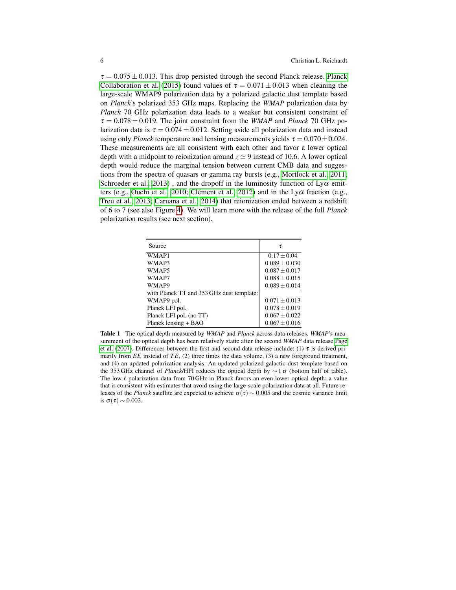$\tau = 0.075 \pm 0.013$ . This drop persisted through the second [Planck](#page-14-8) release. Planck [Collaboration et al.](#page-14-8) [\(2015\)](#page-14-8) found values of  $\tau = 0.071 \pm 0.013$  when cleaning the large-scale WMAP9 polarization data by a polarized galactic dust template based on *Planck*'s polarized 353 GHz maps. Replacing the *WMAP* polarization data by *Planck* 70 GHz polarization data leads to a weaker but consistent constraint of  $\tau = 0.078 \pm 0.019$ . The joint constraint from the *WMAP* and *Planck* 70 GHz polarization data is  $\tau = 0.074 \pm 0.012$ . Setting aside all polarization data and instead using only *Planck* temperature and lensing measurements yields  $\tau = 0.070 \pm 0.024$ . These measurements are all consistent with each other and favor a lower optical depth with a midpoint to reionization around  $z \approx 9$  instead of 10.6. A lower optical depth would reduce the marginal tension between current CMB data and suggestions from the spectra of quasars or gamma ray bursts (e.g., [Mortlock et al., 2011;](#page-14-9) [Schroeder et al., 2013\)](#page-14-10), and the dropoff in the luminosity function of  $Ly\alpha$  emit-ters (e.g., [Ouchi et al., 2010;](#page-14-11) Clément et al., 2012) and in the  $Ly\alpha$  fraction (e.g., [Treu et al., 2013;](#page-14-12) [Caruana et al., 2014\)](#page-13-9) that reionization ended between a redshift of 6 to 7 (see also Figure [4\)](#page-10-1). We will learn more with the release of the full *Planck* polarization results (see next section).

| Source                                    | τ                 |
|-------------------------------------------|-------------------|
| WMAP1                                     | $0.17 \pm 0.04$   |
| WMAP3                                     | $0.089 \pm 0.030$ |
| WMAP <sub>5</sub>                         | $0.087 \pm 0.017$ |
| WMAP7                                     | $0.088 \pm 0.015$ |
| WMAP9                                     | $0.089 \pm 0.014$ |
| with Planck TT and 353 GHz dust template: |                   |
| WMAP9 pol.                                | $0.071 \pm 0.013$ |
| Planck LFI pol.                           | $0.078 \pm 0.019$ |
| Planck LFI pol. (no TT)                   | $0.067 \pm 0.022$ |
| Planck lensing + BAO                      | $0.067 \pm 0.016$ |

<span id="page-5-0"></span>Table 1 The optical depth measured by *WMAP* and *Planck* across data releases. *WMAP*'s measurement of the optical depth has been relatively static after the second *WMAP* data release [Page](#page-14-6) [et al.](#page-14-6) [\(2007\)](#page-14-6). Differences between the first and second data release include: (1)  $\tau$  is derived primarily from *EE* instead of *TE*, (2) three times the data volume, (3) a new foreground treatment, and (4) an updated polarization analysis. An updated polarized galactic dust template based on the 353 GHz channel of *Planck*/HFI reduces the optical depth by ∼ 1 σ (bottom half of table). The low- $\ell$  polarization data from 70 GHz in Planck favors an even lower optical depth; a value that is consistent with estimates that avoid using the large-scale polarization data at all. Future releases of the *Planck* satellite are expected to achieve  $\sigma(\tau) \sim 0.005$  and the cosmic variance limit is  $\sigma(\tau) \sim 0.002$ .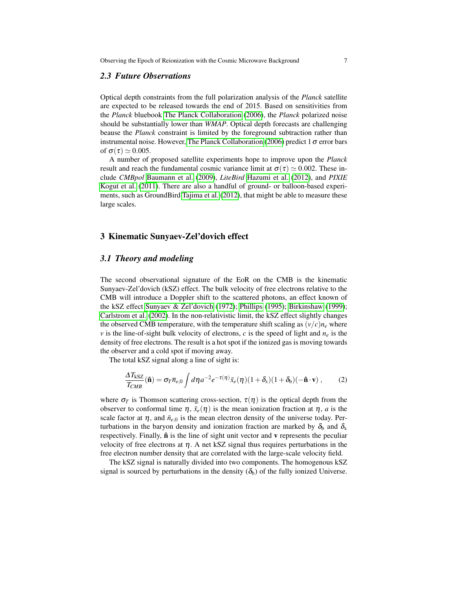#### *2.3 Future Observations*

Optical depth constraints from the full polarization analysis of the *Planck* satellite are expected to be released towards the end of 2015. Based on sensitivities from the *Planck* bluebook [The Planck Collaboration](#page-14-13) [\(2006\)](#page-14-13), the *Planck* polarized noise should be substantially lower than *WMAP*. Optical depth forecasts are challenging beause the *Planck* constraint is limited by the foreground subtraction rather than instrumental noise. However, [The Planck Collaboration](#page-14-13) [\(2006\)](#page-14-13) predict 1  $\sigma$  error bars of  $\sigma(\tau) \simeq 0.005$ .

A number of proposed satellite experiments hope to improve upon the *Planck* result and reach the fundamental cosmic variance limit at  $\sigma(\tau) \simeq 0.002$ . These include *CMBpol* [Baumann et al.](#page-13-6) [\(2009\)](#page-13-6), *LiteBird* [Hazumi et al.](#page-13-10) [\(2012\)](#page-13-10), and *PIXIE* [Kogut et al.](#page-14-14) [\(2011\)](#page-14-14). There are also a handful of ground- or balloon-based experiments, such as GroundBird [Tajima et al.](#page-14-15) [\(2012\)](#page-14-15), that might be able to measure these large scales.

## <span id="page-6-0"></span>3 Kinematic Sunyaev-Zel'dovich effect

## *3.1 Theory and modeling*

The second observational signature of the EoR on the CMB is the kinematic Sunyaev-Zel'dovich (kSZ) effect. The bulk velocity of free electrons relative to the CMB will introduce a Doppler shift to the scattered photons, an effect known of the kSZ effect [Sunyaev & Zel'dovich](#page-14-16) [\(1972\)](#page-14-16); [Phillips](#page-14-17) [\(1995\)](#page-14-17); [Birkinshaw](#page-13-11) [\(1999\)](#page-13-11); [Carlstrom et al.](#page-13-12) [\(2002\)](#page-13-12). In the non-relativistic limit, the kSZ effect slightly changes the observed CMB temperature, with the temperature shift scaling as  $(\nu/c)n_e$  where *v* is the line-of-sight bulk velocity of electrons, *c* is the speed of light and  $n_e$  is the density of free electrons. The result is a hot spot if the ionized gas is moving towards the observer and a cold spot if moving away.

The total kSZ signal along a line of sight is:

$$
\frac{\Delta T_{\text{kSZ}}}{T_{CMB}}(\hat{\mathbf{n}}) = \sigma_T \overline{n}_{e,0} \int d\eta a^{-2} e^{-\tau(\eta)} \bar{x}_e(\eta) (1 + \delta_x) (1 + \delta_b) (-\hat{\mathbf{n}} \cdot \mathbf{v}) ,\qquad (2)
$$

where  $\sigma_T$  is Thomson scattering cross-section,  $\tau(\eta)$  is the optical depth from the observer to conformal time  $\eta$ ,  $\bar{x}_e(\eta)$  is the mean ionization fraction at  $\eta$ , *a* is the scale factor at  $\eta$ , and  $\bar{n}_{e,0}$  is the mean electron density of the universe today. Perturbations in the baryon density and ionization fraction are marked by  $\delta_b$  and  $\delta_x$ respectively. Finally,  $\hat{\bf n}$  is the line of sight unit vector and  ${\bf v}$  represents the peculiar velocity of free electrons at  $\eta$ . A net kSZ signal thus requires perturbations in the free electron number density that are correlated with the large-scale velocity field.

The kSZ signal is naturally divided into two components. The homogenous kSZ signal is sourced by perturbations in the density  $(\delta_b)$  of the fully ionized Universe.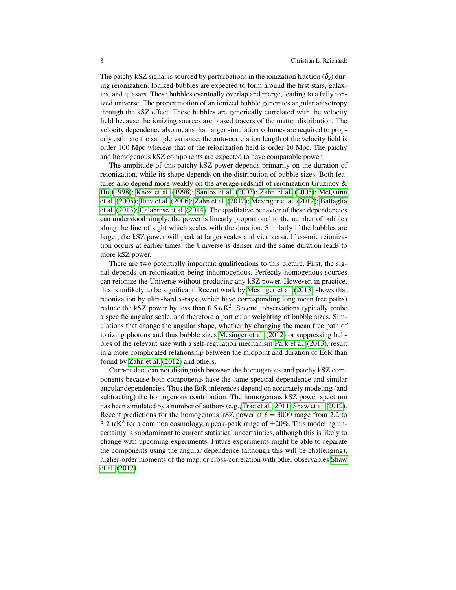The patchy kSZ signal is sourced by perturbations in the ionization fraction ( $\delta_x$ ) during reionization. Ionized bubbles are expected to form around the first stars, galaxies, and quasars. These bubbles eventually overlap and merge, leading to a fully ionized universe. The proper motion of an ionized bubble generates angular anisotropy through the kSZ effect. These bubbles are generically correlated with the velocity field because the ionizing sources are biased tracers of the matter distribution. The velocity dependence also means that larger simulation volumes are required to properly estimate the sample variance; the auto-correlation length of the velocity field is order 100 Mpc whereas that of the reionization field is order 10 Mpc. The patchy and homogenous kSZ components are expected to have comparable power.

The amplitude of this patchy kSZ power depends primarily on the duration of reionization, while its shape depends on the distribution of bubble sizes. Both features also depend more weakly on the average redshift of reionization [Gruzinov &](#page-13-13) [Hu](#page-13-13) [\(1998\)](#page-13-13); [Knox et al.](#page-13-14) [\(1998\)](#page-13-14); [Santos et al.](#page-14-18) [\(2003\)](#page-14-18); [Zahn et al.](#page-14-19) [\(2005\)](#page-14-19); [McQuinn](#page-14-20) [et al.](#page-14-20) [\(2005\)](#page-14-20); [Iliev et al.](#page-13-15) [\(2006\)](#page-13-15); [Zahn et al.](#page-14-21) [\(2012\)](#page-14-21); [Mesinger et al.](#page-14-2) [\(2012\)](#page-14-2); [Battaglia](#page-13-16) [et al.](#page-13-16) [\(2013\)](#page-13-16); [Calabrese et al.](#page-13-17) [\(2014\)](#page-13-17). The qualitative behavior of these dependencies can understood simply: the power is linearly proportional to the number of bubbles along the line of sight which scales with the duration. Similarly if the bubbles are larger, the kSZ power will peak at larger scales and vice versa. If cosmic reionization occurs at earlier times, the Universe is denser and the same duration leads to more kSZ power.

There are two potentially important qualifications to this picture. First, the signal depends on reionization being inhomogenous. Perfectly homogenous sources can reionize the Universe without producing any kSZ power. However, in practice, this is unlikely to be significant. Recent work by [Mesinger et al.](#page-14-22) [\(2013\)](#page-14-22) shows that reionization by ultra-hard x-rays (which have corresponding long mean free paths) reduce the kSZ power by less than  $0.5 \mu K^2$ . Second, observations typically probe a specific angular scale, and therefore a particular weighting of bubble sizes. Simulations that change the angular shape, whether by changing the mean free path of ionizing photons and thus bubble sizes [Mesinger et al.](#page-14-2) [\(2012\)](#page-14-2) or suppressing bubbles of the relevant size with a self-regulation mechanism [Park et al.](#page-14-23) [\(2013\)](#page-14-23), result in a more complicated relationship between the midpoint and duration of EoR than found by [Zahn et al.](#page-14-21) [\(2012\)](#page-14-21) and others.

Current data can not distinguish between the homogenous and patchy kSZ components because both components have the same spectral dependence and similar angular dependencies. Thus the EoR inferences depend on accurately modeling (and subtracting) the homogenous contribution. The homogenous kSZ power spectrum has been simulated by a number of authors (e.g., [Trac et al., 2011;](#page-14-24) [Shaw et al., 2012\)](#page-14-25). Recent predictions for the homogenous kSZ power at  $\ell = 3000$  range from 2.2 to 3.2  $\mu$ K<sup>2</sup> for a common cosmology, a peak-peak range of  $\pm$ 20%. This modeling uncertainty is subdominant to current statistical uncertainties, although this is likely to change with upcoming experiments. Future experiments might be able to separate the components using the angular dependence (although this will be challenging), higher-order moments of the map, or cross-correlation with other observables [Shaw](#page-14-25) [et al.](#page-14-25) [\(2012\)](#page-14-25).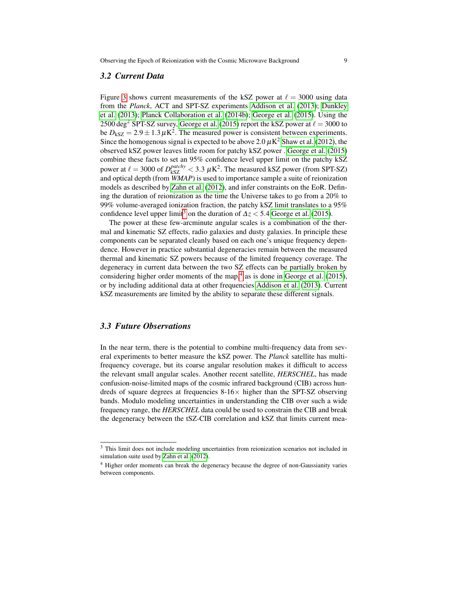#### *3.2 Current Data*

Figure [3](#page-9-0) shows current measurements of the kSZ power at  $\ell = 3000$  using data from the *Planck*, ACT and SPT-SZ experiments [Addison et al.](#page-13-2) [\(2013\)](#page-13-2); [Dunkley](#page-13-3) [et al.](#page-13-3) [\(2013\)](#page-13-3); [Planck Collaboration et al.](#page-14-26) [\(2014b\)](#page-14-26); [George et al.](#page-13-4) [\(2015\)](#page-13-4). Using the 2500 deg<sup>2</sup> SPT-SZ survey, [George et al.](#page-13-4) [\(2015\)](#page-13-4) report the kSZ power at  $\ell = 3000$  to be  $D_{\text{kSZ}} = 2.9 \pm 1.3 \,\mu\text{K}^2$ . The measured power is consistent between experiments. Since the homogenous signal is expected to be above 2.0  $\mu$ K<sup>2</sup> [Shaw et al.](#page-14-25) [\(2012\)](#page-14-25), the observed kSZ power leaves little room for patchy kSZ power . [George et al.](#page-13-4) [\(2015\)](#page-13-4) combine these facts to set an 95% confidence level upper limit on the patchy kSZ power at  $\ell = 3000$  of  $D_{\rm kSZ}^{patchy} < 3.3 \ \mu{\rm K}^2$ . The measured kSZ power (from SPT-SZ) and optical depth (from *WMAP*) is used to importance sample a suite of reionization models as described by [Zahn et al.](#page-14-21) [\(2012\)](#page-14-21), and infer constraints on the EoR. Defining the duration of reionization as the time the Universe takes to go from a 20% to 99% volume-averaged ionization fraction, the patchy kSZ limit translates to a 95% confidence level upper limit<sup>[3](#page-8-0)</sup> on the duration of  $\Delta z$  < 5.4 [George et al.](#page-13-4) [\(2015\)](#page-13-4).

The power at these few-arcminute angular scales is a combination of the thermal and kinematic SZ effects, radio galaxies and dusty galaxies. In principle these components can be separated cleanly based on each one's unique frequency dependence. However in practice substantial degeneracies remain between the measured thermal and kinematic SZ powers because of the limited frequency coverage. The degeneracy in current data between the two SZ effects can be partially broken by considering higher order moments of the map,<sup>[4](#page-8-1)</sup> as is done in [George et al.](#page-13-4) [\(2015\)](#page-13-4), or by including additional data at other frequencies [Addison et al.](#page-13-2) [\(2013\)](#page-13-2). Current kSZ measurements are limited by the ability to separate these different signals.

#### *3.3 Future Observations*

In the near term, there is the potential to combine multi-frequency data from several experiments to better measure the kSZ power. The *Planck* satellite has multifrequency coverage, but its coarse angular resolution makes it difficult to access the relevant small angular scales. Another recent satellite, *HERSCHEL*, has made confusion-noise-limited maps of the cosmic infrared background (CIB) across hundreds of square degrees at frequencies  $8-16\times$  higher than the SPT-SZ observing bands. Modulo modeling uncertainties in understanding the CIB over such a wide frequency range, the *HERSCHEL* data could be used to constrain the CIB and break the degeneracy between the tSZ-CIB correlation and kSZ that limits current mea-

<span id="page-8-0"></span><sup>&</sup>lt;sup>3</sup> This limit does not include modeling uncertainties from reionization scenarios not included in simulation suite used by [Zahn et al.](#page-14-21) [\(2012\)](#page-14-21).

<span id="page-8-1"></span><sup>4</sup> Higher order moments can break the degeneracy because the degree of non-Gaussianity varies between components.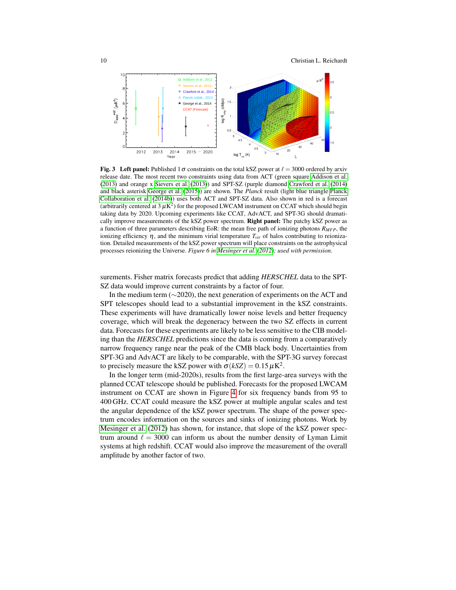10 Christian L. Reichardt



<span id="page-9-0"></span>**Fig. 3** Left panel: Published 1  $\sigma$  constraints on the total kSZ power at  $\ell = 3000$  ordered by arxiv release date. The most recent two constraints using data from ACT (green square [Addison et al.](#page-13-2) [\(2013\)](#page-13-2) and orange x [Sievers et al.](#page-14-27) [\(2013\)](#page-14-27)) and SPT-SZ (purple diamond [Crawford et al.](#page-13-18) [\(2014\)](#page-13-18) and black asterisk [George et al.](#page-13-4) [\(2015\)](#page-13-4)) are shown. The *Planck* result (light blue triangle [Planck](#page-14-26) [Collaboration et al.](#page-14-26) [\(2014b\)](#page-14-26)) uses both ACT and SPT-SZ data. Also shown in red is a forecast (arbitrarily centered at  $3 \mu$ K<sup>2</sup>) for the proposed LWCAM instrument on CCAT which should begin taking data by 2020. Upcoming experiments like CCAT, AdvACT, and SPT-3G should dramatically improve measurements of the kSZ power spectrum. Right panel: The patchy kSZ power as a function of three parameters describing EoR: the mean free path of ionizing photons *RMFP*, the ionizing efficiency  $\eta$ , and the minimum virial temperature  $T_{vir}$  of halos contributing to reionization. Detailed measurements of the kSZ power spectrum will place constraints on the astrophysical processes reionizing the Universe. *Figure 6 in [Mesinger et al.](#page-14-2) [\(2012\)](#page-14-2); used with permission.*

surements. Fisher matrix forecasts predict that adding *HERSCHEL* data to the SPT-SZ data would improve current constraints by a factor of four.

In the medium term (∼2020), the next generation of experiments on the ACT and SPT telescopes should lead to a substantial improvement in the kSZ constraints. These experiments will have dramatically lower noise levels and better frequency coverage, which will break the degeneracy between the two SZ effects in current data. Forecasts for these experiments are likely to be less sensitive to the CIB modeling than the *HERSCHEL* predictions since the data is coming from a comparatively narrow frequency range near the peak of the CMB black body. Uncertainties from SPT-3G and AdvACT are likely to be comparable, with the SPT-3G survey forecast to precisely measure the kSZ power with  $\sigma(kSZ) = 0.15 \,\mu\text{K}^2$ .

In the longer term (mid-2020s), results from the first large-area surveys with the planned CCAT telescope should be published. Forecasts for the proposed LWCAM instrument on CCAT are shown in Figure [4](#page-10-1) for six frequency bands from 95 to 400 GHz. CCAT could measure the kSZ power at multiple angular scales and test the angular dependence of the kSZ power spectrum. The shape of the power spectrum encodes information on the sources and sinks of ionizing photons. Work by [Mesinger et al.](#page-14-2) [\(2012\)](#page-14-2) has shown, for instance, that slope of the kSZ power spectrum around  $\ell = 3000$  can inform us about the number density of Lyman Limit systems at high redshift. CCAT would also improve the measurement of the overall amplitude by another factor of two.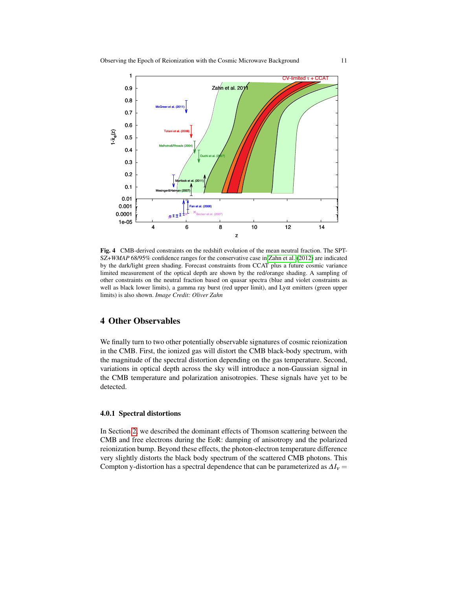

<span id="page-10-1"></span>Fig. 4 CMB-derived constraints on the redshift evolution of the mean neutral fraction. The SPT-SZ+*WMAP* 68/95% confidence ranges for the conservative case in [Zahn et al.](#page-14-21) [\(2012\)](#page-14-21) are indicated by the dark/light green shading. Forecast constraints from CCAT plus a future cosmic variance limited measurement of the optical depth are shown by the red/orange shading. A sampling of other constraints on the neutral fraction based on quasar spectra (blue and violet constraints as well as black lower limits), a gamma ray burst (red upper limit), and  $Ly\alpha$  emitters (green upper limits) is also shown. *Image Credit: Oliver Zahn*

## <span id="page-10-0"></span>4 Other Observables

We finally turn to two other potentially observable signatures of cosmic reionization in the CMB. First, the ionized gas will distort the CMB black-body spectrum, with the magnitude of the spectral distortion depending on the gas temperature. Second, variations in optical depth across the sky will introduce a non-Gaussian signal in the CMB temperature and polarization anisotropies. These signals have yet to be detected.

### 4.0.1 Spectral distortions

In Section [2,](#page-1-1) we described the dominant effects of Thomson scattering between the CMB and free electrons during the EoR: damping of anisotropy and the polarized reionization bump. Beyond these effects, the photon-electron temperature difference very slightly distorts the black body spectrum of the scattered CMB photons. This Compton y-distortion has a spectral dependence that can be parameterized as  $\Delta I_v$  =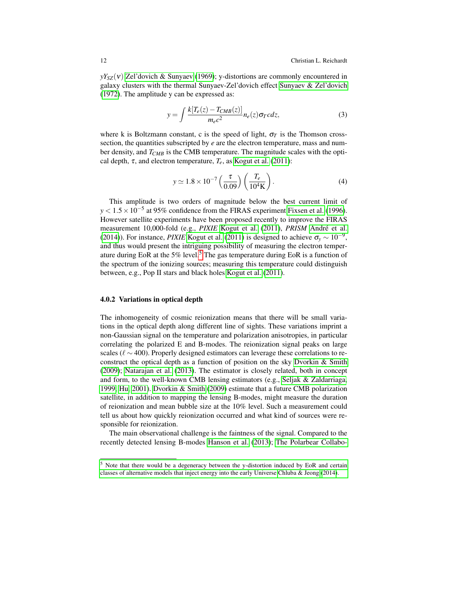$yY_{SZ}(v)$  [Zel'dovich & Sunyaev](#page-14-28) [\(1969\)](#page-14-28); y-distortions are commonly encountered in galaxy clusters with the thermal Sunyaev-Zel'dovich effect [Sunyaev & Zel'dovich](#page-14-16) [\(1972\)](#page-14-16). The amplitude y can be expressed as:

$$
y = \int \frac{k[T_e(z) - T_{CMB}(z)]}{m_e c^2} n_e(z) \sigma_T c dz,
$$
\n(3)

where k is Boltzmann constant, c is the speed of light,  $\sigma_T$  is the Thomson crosssection, the quantities subscripted by *e* are the electron temperature, mass and number density, and *TCMB* is the CMB temperature. The magnitude scales with the optical depth,  $\tau$ , and electron temperature,  $T_e$ , as [Kogut et al.](#page-14-14) [\(2011\)](#page-14-14):

$$
y \simeq 1.8 \times 10^{-7} \left(\frac{\tau}{0.09}\right) \left(\frac{T_e}{10^4 \text{K}}\right).
$$
 (4)

This amplitude is two orders of magnitude below the best current limit of *y* < 1.5 × 10<sup>-5</sup> at 95% confidence from the FIRAS experiment [Fixsen et al.](#page-13-19) [\(1996\)](#page-13-19). However satellite experiments have been proposed recently to improve the FIRAS measurement 10,000-fold (e.g., *PIXIE* [Kogut et al.](#page-14-14) [\(2011\)](#page-14-14), *PRISM* [Andre et al.](#page-13-20) ´ [\(2014\)](#page-13-20)). For instance, *PIXIE* [Kogut et al.](#page-14-14) [\(2011\)](#page-14-14) is designed to achieve  $\sigma_y \sim 10^{-9}$ , and thus would present the intriguing possibility of measuring the electron temperature during EoR at the  $5\%$  $5\%$  level.<sup>5</sup> The gas temperature during EoR is a function of the spectrum of the ionizing sources; measuring this temperature could distinguish between, e.g., Pop II stars and black holes [Kogut et al.](#page-14-14) [\(2011\)](#page-14-14).

#### 4.0.2 Variations in optical depth

The inhomogeneity of cosmic reionization means that there will be small variations in the optical depth along different line of sights. These variations imprint a non-Gaussian signal on the temperature and polarization anisotropies, in particular correlating the polarized E and B-modes. The reionization signal peaks on large scales ( $\ell \sim 400$ ). Properly designed estimators can leverage these correlations to reconstruct the optical depth as a function of position on the sky [Dvorkin & Smith](#page-13-21) [\(2009\)](#page-13-21); [Natarajan et al.](#page-14-29) [\(2013\)](#page-14-29). The estimator is closely related, both in concept and form, to the well-known CMB lensing estimators (e.g., [Seljak & Zaldarriaga,](#page-14-30) [1999;](#page-14-30) [Hu, 2001\)](#page-13-22). [Dvorkin & Smith](#page-13-21) [\(2009\)](#page-13-21) estimate that a future CMB polarization satellite, in addition to mapping the lensing B-modes, might measure the duration of reionization and mean bubble size at the 10% level. Such a measurement could tell us about how quickly reionization occurred and what kind of sources were responsible for reionization.

The main observational challenge is the faintness of the signal. Compared to the recently detected lensing B-modes [Hanson et al.](#page-13-23) [\(2013\)](#page-13-23); [The Polarbear Collabo-](#page-14-31)

<span id="page-11-0"></span><sup>5</sup> [Note that there would be a degeneracy between the y-distortion induced by EoR and certain](#page-14-31) [classes of alternative models that inject energy into the early Universe Chluba & Jeong \(2014\).](#page-14-31)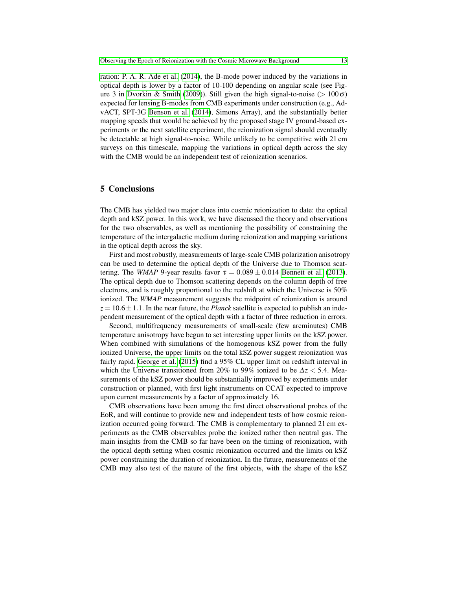[ration: P. A. R. Ade et al.](#page-14-31) [\(2014\)](#page-14-31), the B-mode power induced by the variations in optical depth is lower by a factor of 10-100 depending on angular scale (see Fig-ure 3 in [Dvorkin & Smith](#page-13-21) [\(2009\)](#page-13-21)). Still given the high signal-to-noise ( $> 100\sigma$ ) expected for lensing B-modes from CMB experiments under construction (e.g., AdvACT, SPT-3G [Benson et al.](#page-13-25) [\(2014\)](#page-13-25), Simons Array), and the substantially better mapping speeds that would be achieved by the proposed stage IV ground-based experiments or the next satellite experiment, the reionization signal should eventually be detectable at high signal-to-noise. While unlikely to be competitive with 21 cm surveys on this timescale, mapping the variations in optical depth across the sky with the CMB would be an independent test of reionization scenarios.

## <span id="page-12-0"></span>5 Conclusions

The CMB has yielded two major clues into cosmic reionization to date: the optical depth and kSZ power. In this work, we have discussed the theory and observations for the two observables, as well as mentioning the possibility of constraining the temperature of the intergalactic medium during reionization and mapping variations in the optical depth across the sky.

First and most robustly, measurements of large-scale CMB polarization anisotropy can be used to determine the optical depth of the Universe due to Thomson scattering. The *WMAP* 9-year results favor  $\tau = 0.089 \pm 0.014$  [Bennett et al.](#page-13-1) [\(2013\)](#page-13-1). The optical depth due to Thomson scattering depends on the column depth of free electrons, and is roughly proportional to the redshift at which the Universe is 50% ionized. The *WMAP* measurement suggests the midpoint of reionization is around  $z = 10.6 \pm 1.1$ . In the near future, the *Planck* satellite is expected to publish an independent measurement of the optical depth with a factor of three reduction in errors.

Second, multifrequency measurements of small-scale (few arcminutes) CMB temperature anisotropy have begun to set interesting upper limits on the kSZ power. When combined with simulations of the homogenous kSZ power from the fully ionized Universe, the upper limits on the total kSZ power suggest reionization was fairly rapid. [George et al.](#page-13-4) [\(2015\)](#page-13-4) find a 95% CL upper limit on redshift interval in which the Universe transitioned from 20% to 99% ionized to be ∆*z* < 5.4. Measurements of the kSZ power should be substantially improved by experiments under construction or planned, with first light instruments on CCAT expected to improve upon current measurements by a factor of approximately 16.

CMB observations have been among the first direct observational probes of the EoR, and will continue to provide new and independent tests of how cosmic reionization occurred going forward. The CMB is complementary to planned 21 cm experiments as the CMB observables probe the ionized rather then neutral gas. The main insights from the CMB so far have been on the timing of reionization, with the optical depth setting when cosmic reionization occurred and the limits on kSZ power constraining the duration of reionization. In the future, measurements of the CMB may also test of the nature of the first objects, with the shape of the kSZ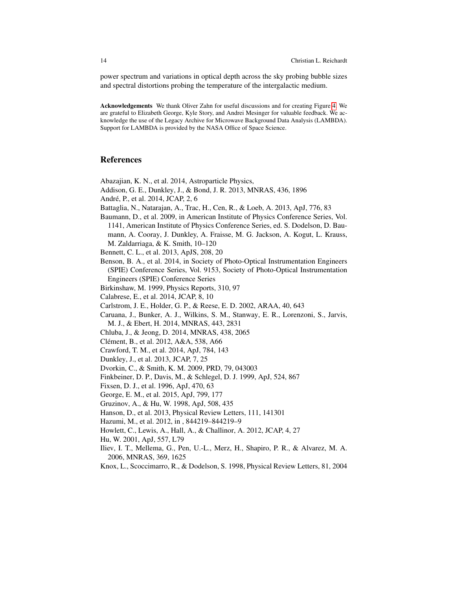power spectrum and variations in optical depth across the sky probing bubble sizes and spectral distortions probing the temperature of the intergalactic medium.

Acknowledgements We thank Oliver Zahn for useful discussions and for creating Figure [4.](#page-10-1) We are grateful to Elizabeth George, Kyle Story, and Andrei Mesinger for valuable feedback. We acknowledge the use of the Legacy Archive for Microwave Background Data Analysis (LAMBDA). Support for LAMBDA is provided by the NASA Office of Space Science.

## References

<span id="page-13-0"></span>Abazajian, K. N., et al. 2014, Astroparticle Physics,

- <span id="page-13-2"></span>Addison, G. E., Dunkley, J., & Bond, J. R. 2013, MNRAS, 436, 1896
- <span id="page-13-20"></span>Andre, P., et al. 2014, JCAP, 2, 6 ´
- <span id="page-13-16"></span>Battaglia, N., Natarajan, A., Trac, H., Cen, R., & Loeb, A. 2013, ApJ, 776, 83
- <span id="page-13-6"></span>Baumann, D., et al. 2009, in American Institute of Physics Conference Series, Vol. 1141, American Institute of Physics Conference Series, ed. S. Dodelson, D. Baumann, A. Cooray, J. Dunkley, A. Fraisse, M. G. Jackson, A. Kogut, L. Krauss, M. Zaldarriaga, & K. Smith, 10–120

<span id="page-13-1"></span>Bennett, C. L., et al. 2013, ApJS, 208, 20

<span id="page-13-25"></span>Benson, B. A., et al. 2014, in Society of Photo-Optical Instrumentation Engineers (SPIE) Conference Series, Vol. 9153, Society of Photo-Optical Instrumentation Engineers (SPIE) Conference Series

<span id="page-13-11"></span>Birkinshaw, M. 1999, Physics Reports, 310, 97

<span id="page-13-17"></span>Calabrese, E., et al. 2014, JCAP, 8, 10

<span id="page-13-12"></span>Carlstrom, J. E., Holder, G. P., & Reese, E. D. 2002, ARAA, 40, 643

- <span id="page-13-9"></span>Caruana, J., Bunker, A. J., Wilkins, S. M., Stanway, E. R., Lorenzoni, S., Jarvis, M. J., & Ebert, H. 2014, MNRAS, 443, 2831
- <span id="page-13-24"></span>Chluba, J., & Jeong, D. 2014, MNRAS, 438, 2065
- <span id="page-13-8"></span>Clément, B., et al. 2012, A&A, 538, A66
- <span id="page-13-18"></span>Crawford, T. M., et al. 2014, ApJ, 784, 143

<span id="page-13-3"></span>Dunkley, J., et al. 2013, JCAP, 7, 25

<span id="page-13-21"></span>Dvorkin, C., & Smith, K. M. 2009, PRD, 79, 043003

<span id="page-13-7"></span>Finkbeiner, D. P., Davis, M., & Schlegel, D. J. 1999, ApJ, 524, 867

<span id="page-13-19"></span>Fixsen, D. J., et al. 1996, ApJ, 470, 63

- <span id="page-13-4"></span>George, E. M., et al. 2015, ApJ, 799, 177
- <span id="page-13-13"></span>Gruzinov, A., & Hu, W. 1998, ApJ, 508, 435
- <span id="page-13-23"></span>Hanson, D., et al. 2013, Physical Review Letters, 111, 141301
- <span id="page-13-10"></span>Hazumi, M., et al. 2012, in , 844219–844219–9
- <span id="page-13-5"></span>Howlett, C., Lewis, A., Hall, A., & Challinor, A. 2012, JCAP, 4, 27

<span id="page-13-22"></span>Hu, W. 2001, ApJ, 557, L79

<span id="page-13-15"></span>Iliev, I. T., Mellema, G., Pen, U.-L., Merz, H., Shapiro, P. R., & Alvarez, M. A. 2006, MNRAS, 369, 1625

<span id="page-13-14"></span>Knox, L., Scoccimarro, R., & Dodelson, S. 1998, Physical Review Letters, 81, 2004